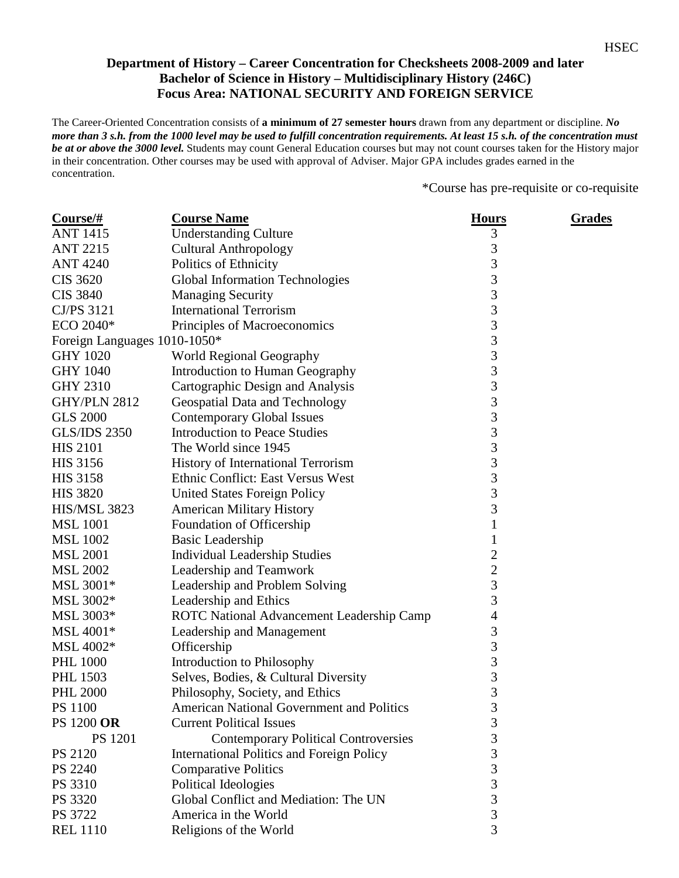## **Department of History – Career Concentration for Checksheets 2008-2009 and later Bachelor of Science in History – Multidisciplinary History (246C) Focus Area: NATIONAL SECURITY AND FOREIGN SERVICE**

The Career-Oriented Concentration consists of **a minimum of 27 semester hours** drawn from any department or discipline. *No more than 3 s.h. from the 1000 level may be used to fulfill concentration requirements. At least 15 s.h. of the concentration must be at or above the 3000 level.* Students may count General Education courses but may not count courses taken for the History major in their concentration. Other courses may be used with approval of Adviser. Major GPA includes grades earned in the concentration.

\*Course has pre-requisite or co-requisite

| $Course/\#$                  | <b>Course Name</b>                               | <b>Hours</b>     | <b>Grades</b> |
|------------------------------|--------------------------------------------------|------------------|---------------|
| <b>ANT 1415</b>              | <b>Understanding Culture</b>                     | 3                |               |
| <b>ANT 2215</b>              | <b>Cultural Anthropology</b>                     | 3                |               |
| <b>ANT 4240</b>              | Politics of Ethnicity                            | 3                |               |
| <b>CIS 3620</b>              | <b>Global Information Technologies</b>           | 3                |               |
| <b>CIS 3840</b>              | <b>Managing Security</b>                         | 3                |               |
| CJ/PS 3121                   | <b>International Terrorism</b>                   | 3                |               |
| ECO 2040*                    | Principles of Macroeconomics                     | 3                |               |
| Foreign Languages 1010-1050* |                                                  | 3                |               |
| <b>GHY 1020</b>              | <b>World Regional Geography</b>                  | $\mathfrak{Z}$   |               |
| <b>GHY 1040</b>              | Introduction to Human Geography                  | 3                |               |
| <b>GHY 2310</b>              | Cartographic Design and Analysis                 | 3                |               |
| <b>GHY/PLN 2812</b>          | Geospatial Data and Technology                   | $\mathfrak{Z}$   |               |
| <b>GLS 2000</b>              | <b>Contemporary Global Issues</b>                | 3                |               |
| <b>GLS/IDS 2350</b>          | <b>Introduction to Peace Studies</b>             | 3                |               |
| <b>HIS 2101</b>              | The World since 1945                             | $\mathfrak{Z}$   |               |
| <b>HIS 3156</b>              | History of International Terrorism               | 3                |               |
| <b>HIS 3158</b>              | Ethnic Conflict: East Versus West                | 3                |               |
| <b>HIS 3820</b>              | <b>United States Foreign Policy</b>              | 3                |               |
| <b>HIS/MSL 3823</b>          | <b>American Military History</b>                 | 3                |               |
| <b>MSL 1001</b>              | Foundation of Officership                        | 1                |               |
| <b>MSL 1002</b>              | <b>Basic Leadership</b>                          | 1                |               |
| <b>MSL 2001</b>              | <b>Individual Leadership Studies</b>             | $\boldsymbol{2}$ |               |
| <b>MSL 2002</b>              | Leadership and Teamwork                          | $\overline{2}$   |               |
| MSL 3001*                    | Leadership and Problem Solving                   | $\mathfrak{Z}$   |               |
| MSL 3002*                    | Leadership and Ethics                            | $\mathfrak{Z}$   |               |
| MSL 3003*                    | ROTC National Advancement Leadership Camp        | $\overline{4}$   |               |
| MSL 4001*                    | Leadership and Management                        | 3                |               |
| MSL 4002*                    | Officership                                      | 3                |               |
| <b>PHL 1000</b>              | Introduction to Philosophy                       | $\mathfrak{Z}$   |               |
| <b>PHL 1503</b>              | Selves, Bodies, & Cultural Diversity             | 3                |               |
| <b>PHL 2000</b>              | Philosophy, Society, and Ethics                  | 3                |               |
| PS 1100                      | <b>American National Government and Politics</b> | 3                |               |
| <b>PS 1200 OR</b>            | <b>Current Political Issues</b>                  | 3                |               |
| PS 1201                      | <b>Contemporary Political Controversies</b>      | 3                |               |
| <b>PS 2120</b>               | International Politics and Foreign Policy        | $\mathfrak{Z}$   |               |
| PS 2240                      | <b>Comparative Politics</b>                      | 3                |               |
| PS 3310                      | Political Ideologies                             | 3                |               |
| PS 3320                      | Global Conflict and Mediation: The UN            | 3                |               |
| PS 3722                      | America in the World                             | $\mathfrak{Z}$   |               |
| <b>REL 1110</b>              | Religions of the World                           | 3                |               |